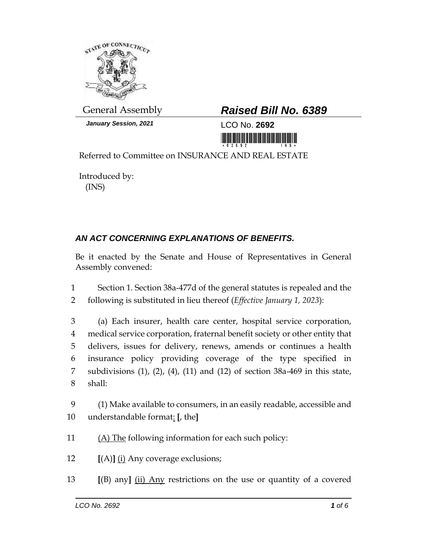

*January Session, 2021* LCO No. **2692**

## General Assembly *Raised Bill No. 6389*

<u>ni ini ini ini mamamini ini in</u>

Referred to Committee on INSURANCE AND REAL ESTATE

Introduced by: (INS)

## *AN ACT CONCERNING EXPLANATIONS OF BENEFITS.*

Be it enacted by the Senate and House of Representatives in General Assembly convened:

1 Section 1. Section 38a-477d of the general statutes is repealed and the 2 following is substituted in lieu thereof (*Effective January 1, 2023*):

 (a) Each insurer, health care center, hospital service corporation, medical service corporation, fraternal benefit society or other entity that delivers, issues for delivery, renews, amends or continues a health insurance policy providing coverage of the type specified in subdivisions (1), (2), (4), (11) and (12) of section 38a-469 in this state, 8 shall:

9 (1) Make available to consumers, in an easily readable, accessible and 10 understandable format: **[**, the**]**

11 (A) The following information for each such policy:

12 **[**(A)**]** (i) Any coverage exclusions;

13 **[**(B) any**]** (ii) Any restrictions on the use or quantity of a covered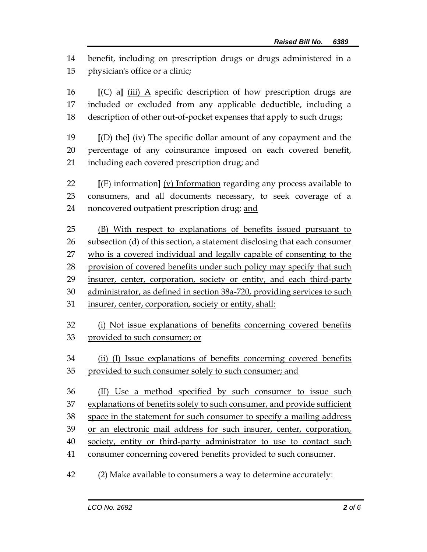benefit, including on prescription drugs or drugs administered in a physician's office or a clinic;

 **[**(C) a**]** (iii) A specific description of how prescription drugs are included or excluded from any applicable deductible, including a description of other out-of-pocket expenses that apply to such drugs;

 **[**(D) the**]** (iv) The specific dollar amount of any copayment and the percentage of any coinsurance imposed on each covered benefit, including each covered prescription drug; and

 **[**(E) information**]** (v) Information regarding any process available to consumers, and all documents necessary, to seek coverage of a noncovered outpatient prescription drug; and

 (B) With respect to explanations of benefits issued pursuant to subsection (d) of this section, a statement disclosing that each consumer who is a covered individual and legally capable of consenting to the 28 provision of covered benefits under such policy may specify that such insurer, center, corporation, society or entity, and each third-party administrator, as defined in section 38a-720, providing services to such insurer, center, corporation, society or entity, shall:

 (i) Not issue explanations of benefits concerning covered benefits provided to such consumer; or

 (ii) (I) Issue explanations of benefits concerning covered benefits provided to such consumer solely to such consumer; and

 (II) Use a method specified by such consumer to issue such explanations of benefits solely to such consumer, and provide sufficient space in the statement for such consumer to specify a mailing address or an electronic mail address for such insurer, center, corporation, society, entity or third-party administrator to use to contact such consumer concerning covered benefits provided to such consumer.

(2) Make available to consumers a way to determine accurately: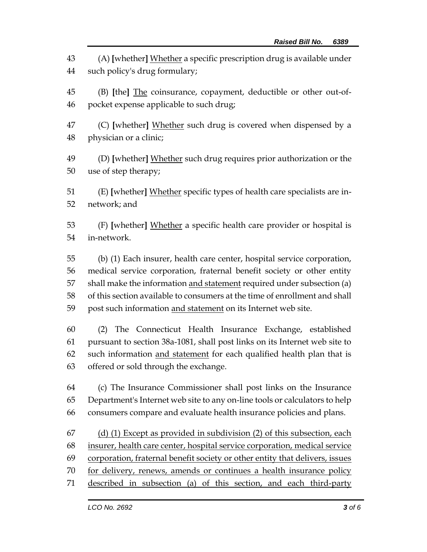(A) **[**whether**]** Whether a specific prescription drug is available under such policy's drug formulary;

- (B) **[**the**]** The coinsurance, copayment, deductible or other out-of-pocket expense applicable to such drug;
- (C) **[**whether**]** Whether such drug is covered when dispensed by a physician or a clinic;
- (D) **[**whether**]** Whether such drug requires prior authorization or the use of step therapy;
- (E) **[**whether**]** Whether specific types of health care specialists are in-network; and
- (F) **[**whether**]** Whether a specific health care provider or hospital is in-network.
- (b) (1) Each insurer, health care center, hospital service corporation, medical service corporation, fraternal benefit society or other entity 57 shall make the information and statement required under subsection (a) of this section available to consumers at the time of enrollment and shall 59 post such information and statement on its Internet web site.
- (2) The Connecticut Health Insurance Exchange, established pursuant to section 38a-1081, shall post links on its Internet web site to 62 such information and statement for each qualified health plan that is offered or sold through the exchange.
- (c) The Insurance Commissioner shall post links on the Insurance Department's Internet web site to any on-line tools or calculators to help consumers compare and evaluate health insurance policies and plans.
- (d) (1) Except as provided in subdivision (2) of this subsection, each insurer, health care center, hospital service corporation, medical service corporation, fraternal benefit society or other entity that delivers, issues for delivery, renews, amends or continues a health insurance policy described in subsection (a) of this section, and each third-party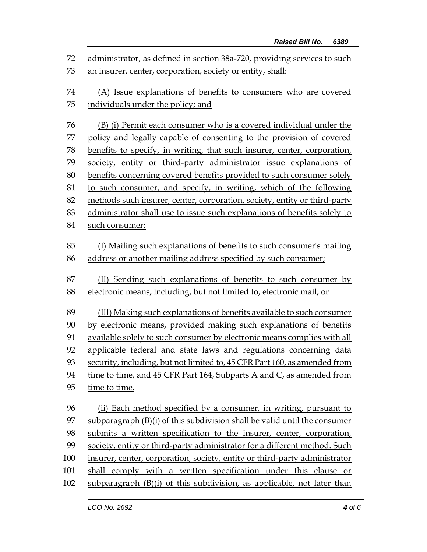administrator, as defined in section 38a-720, providing services to such an insurer, center, corporation, society or entity, shall: (A) Issue explanations of benefits to consumers who are covered individuals under the policy; and (B) (i) Permit each consumer who is a covered individual under the policy and legally capable of consenting to the provision of covered benefits to specify, in writing, that such insurer, center, corporation, society, entity or third-party administrator issue explanations of benefits concerning covered benefits provided to such consumer solely to such consumer, and specify, in writing, which of the following 82 methods such insurer, center, corporation, society, entity or third-party administrator shall use to issue such explanations of benefits solely to such consumer: (I) Mailing such explanations of benefits to such consumer's mailing address or another mailing address specified by such consumer; (II) Sending such explanations of benefits to such consumer by electronic means, including, but not limited to, electronic mail; or (III) Making such explanations of benefits available to such consumer by electronic means, provided making such explanations of benefits available solely to such consumer by electronic means complies with all applicable federal and state laws and regulations concerning data security, including, but not limited to, 45 CFR Part 160, as amended from time to time, and 45 CFR Part 164, Subparts A and C, as amended from time to time. (ii) Each method specified by a consumer, in writing, pursuant to subparagraph (B)(i) of this subdivision shall be valid until the consumer submits a written specification to the insurer, center, corporation, society, entity or third-party administrator for a different method. Such insurer, center, corporation, society, entity or third-party administrator shall comply with a written specification under this clause or subparagraph (B)(i) of this subdivision, as applicable, not later than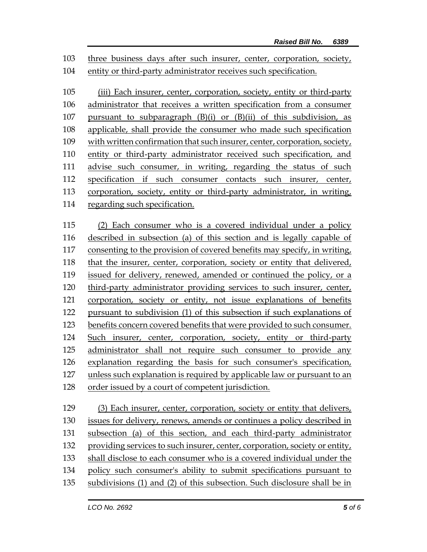three business days after such insurer, center, corporation, society, entity or third-party administrator receives such specification.

 (iii) Each insurer, center, corporation, society, entity or third-party administrator that receives a written specification from a consumer pursuant to subparagraph (B)(i) or (B)(ii) of this subdivision, as applicable, shall provide the consumer who made such specification with written confirmation that such insurer, center, corporation, society, entity or third-party administrator received such specification, and advise such consumer, in writing, regarding the status of such specification if such consumer contacts such insurer, center, corporation, society, entity or third-party administrator, in writing, regarding such specification.

 (2) Each consumer who is a covered individual under a policy described in subsection (a) of this section and is legally capable of consenting to the provision of covered benefits may specify, in writing, that the insurer, center, corporation, society or entity that delivered, issued for delivery, renewed, amended or continued the policy, or a third-party administrator providing services to such insurer, center, corporation, society or entity, not issue explanations of benefits pursuant to subdivision (1) of this subsection if such explanations of benefits concern covered benefits that were provided to such consumer. Such insurer, center, corporation, society, entity or third-party administrator shall not require such consumer to provide any explanation regarding the basis for such consumer's specification, unless such explanation is required by applicable law or pursuant to an order issued by a court of competent jurisdiction.

 (3) Each insurer, center, corporation, society or entity that delivers, issues for delivery, renews, amends or continues a policy described in subsection (a) of this section, and each third-party administrator providing services to such insurer, center, corporation, society or entity, shall disclose to each consumer who is a covered individual under the policy such consumer's ability to submit specifications pursuant to subdivisions (1) and (2) of this subsection. Such disclosure shall be in